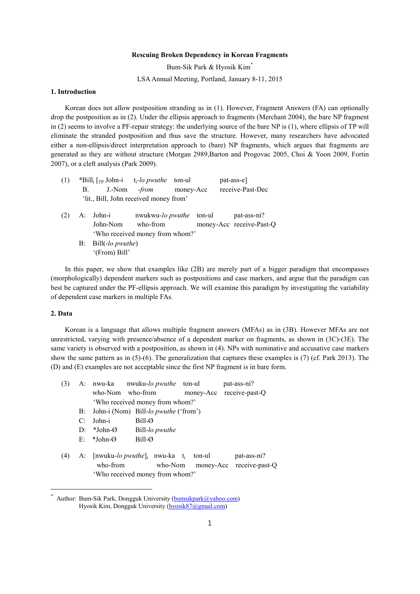#### **Rescuing Broken Dependency in Korean Fragments**

Bum-Sik Park & Hyosik Kim\*

LSA Annual Meeting, Portland, January 8-11, 2015

# **1. Introduction**

Korean does not allow postposition stranding as in (1). However, Fragment Answers (FA) can optionally drop the postposition as in (2). Under the ellipsis approach to fragments (Merchant 2004), the bare NP fragment in (2) seems to involve a PF-repair strategy: the underlying source of the bare NP is (1), where ellipsis of TP will eliminate the stranded postposition and thus save the structure. However, many researchers have advocated either a non-ellipsis/direct interpretation approach to (bare) NP fragments, which argues that fragments are generated as they are without structure (Morgan 2989,Barton and Progovac 2005, Choi & Yoon 2009, Fortin 2007), or a cleft analysis (Park 2009).

| (1) | В. | *Bill <sub>i</sub> $\lceil_{\text{TP}} \text{John-i} \rceil$ t <sub>i</sub> -lo pwuthe ton-ul<br>'lit., Bill, John received money from' | J.-Nom - <i>from</i> money-Acc                                                  |  | pat-ass-e]<br>receive-Past-Dec          |
|-----|----|-----------------------------------------------------------------------------------------------------------------------------------------|---------------------------------------------------------------------------------|--|-----------------------------------------|
| (2) |    | A: John-i                                                                                                                               | nwukwu-lo pwuthe ton-ul<br>John-Nom who-from<br>'Who received money from whom?' |  | pat-ass-ni?<br>money-Acc receive-Past-Q |
|     |    | $B:$ Bill(-lo pwuthe)<br>'(From) Bill'                                                                                                  |                                                                                 |  |                                         |

In this paper, we show that examples like (2B) are merely part of a bigger paradigm that encompasses (morphologically) dependent markers such as postpositions and case markers, and argue that the paradigm can best be captured under the PF-ellipsis approach. We will examine this paradigm by investigating the variability of dependent case markers in multiple FAs.

## **2. Data**

Korean is a language that allows multiple fragment answers (MFAs) as in (3B). However MFAs are not unrestricted, varying with presence/absence of a dependent marker on fragments, as shown in (3C)-(3E). The same variety is observed with a postposition, as shown in (4). NPs with nominative and accusative case markers show the same pattern as in (5)-(6). The generalization that captures these examples is (7) (cf. Park 2013). The (D) and (E) examples are not acceptable since the first NP fragment is in bare form.

| (3) |                         | A: nwu-ka   nwuku-lo <i>pwuthe</i> ton-ul | pat-ass-ni?              |
|-----|-------------------------|-------------------------------------------|--------------------------|
|     |                         | who-Nom who-from                          | money-Acc receive-past-Q |
|     |                         | 'Who received money from whom?'           |                          |
|     |                         | B: John-i (Nom) Bill-lo pwuthe ('from')   |                          |
|     | $C:$ John-i             | Bill-Ø                                    |                          |
|     | D: *John- $\varnothing$ | Bill-lo pwuthe                            |                          |

- E: \*John-Ø Bill-Ø
- (4) A: [nwuku*-lo pwuthe*]i nwu-ka t<sup>i</sup> ton-ul pat-ass-ni? who-from who-Nom money-Acc receive-past-Q 'Who received money from whom?'

Author: Bum-Sik Park, Dongguk University (bumsikpark@yahoo.com) Hyosik Kim, Dongguk University (hyosik87@gmail.com)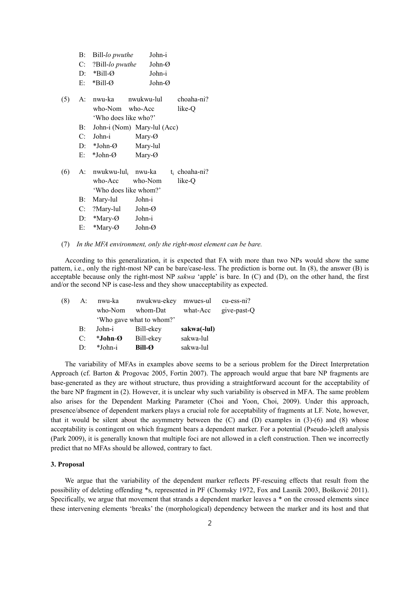|     | B:          | Bill-lo pwuthe                          | John-i                      |                  |
|-----|-------------|-----------------------------------------|-----------------------------|------------------|
|     | $C_{\cdot}$ | ?Bill-lo pwuthe                         | John-Ø                      |                  |
|     | $D$ :       | $*$ Bill-Ø                              | John-i                      |                  |
|     | E:          | $*Bill-O$                               | John- $\varnothing$         |                  |
| (5) | A:          | nwu-ka                                  | nwukwu-lul                  | choaha-ni?       |
|     |             | who-Nom who-Acc<br>'Who does like who?' |                             | like-Q           |
|     | $B$ :       |                                         | John-i (Nom) Mary-lul (Acc) |                  |
|     | $C_{\cdot}$ | John-i                                  | Mary- $\varnothing$         |                  |
|     | D:          | *John-Ø                                 | Mary-lul                    |                  |
|     | E:          | *John-Ø                                 | Mary- $\varnothing$         |                  |
| (6) | A:          | nwukwu-lul <sub>i</sub>                 | nwu-ka                      | $t_i$ choaha-ni? |
|     |             | who-Acc                                 | who-Nom                     | like-O           |
|     |             | 'Who does like whom?'                   |                             |                  |
|     | $B$ :       | Mary-lul                                | John-i                      |                  |
|     |             | $C:$ ?Mary-lul                          | John-Ø                      |                  |
|     | D:          | *Mary- $\varnothing$                    | John-i                      |                  |
|     | Е:          | *Mary-Ø                                 | John- $\varnothing$         |                  |
|     |             |                                         |                             |                  |

#### (7) *In the MFA environment, only the right-most element can be bare.*

According to this generalization, it is expected that FA with more than two NPs would show the same pattern, i.e., only the right-most NP can be bare/case-less. The prediction is borne out. In (8), the answer (B) is acceptable because only the right-most NP *sakwa* 'apple' is bare. In (C) and (D), on the other hand, the first and/or the second NP is case-less and they show unacceptability as expected.

|                           | who-Nom | whom-Dat         |                                              | what-Acc give-past-Q                   |
|---------------------------|---------|------------------|----------------------------------------------|----------------------------------------|
|                           |         |                  |                                              |                                        |
| $B$ :                     |         |                  | sakwa(-lul)                                  |                                        |
| C:                        |         | Bill-ekey        | sakwa-lul                                    |                                        |
| $\mathbf{D}^{\mathbf{p}}$ | *John-i | $Bill-\emptyset$ | sakwa-lul                                    |                                        |
|                           |         | $A$ :<br>*John-Ø | 'Who gave what to whom?'<br>John-i Bill-ekey | nwu-ka nwukwu-ekey mwues-ul cu-ess-ni? |

The variability of MFAs in examples above seems to be a serious problem for the Direct Interpretation Approach (cf. Barton & Progovac 2005, Fortin 2007). The approach would argue that bare NP fragments are base-generated as they are without structure, thus providing a straightforward account for the acceptability of the bare NP fragment in (2). However, it is unclear why such variability is observed in MFA. The same problem also arises for the Dependent Marking Parameter (Choi and Yoon, Choi, 2009). Under this approach, presence/absence of dependent markers plays a crucial role for acceptability of fragments at LF. Note, however, that it would be silent about the asymmetry between the  $(C)$  and  $(D)$  examples in  $(3)-(6)$  and  $(8)$  whose acceptability is contingent on which fragment bears a dependent marker. For a potential (Pseudo-)cleft analysis (Park 2009), it is generally known that multiple foci are not allowed in a cleft construction. Then we incorrectly predict that no MFAs should be allowed, contrary to fact.

## **3. Proposal**

We argue that the variability of the dependent marker reflects PF-rescuing effects that result from the possibility of deleting offending \*s, represented in PF (Chomsky 1972, Fox and Lasnik 2003, Bošković 2011). Specifically, we argue that movement that strands a dependent marker leaves a \* on the crossed elements since these intervening elements 'breaks' the (morphological) dependency between the marker and its host and that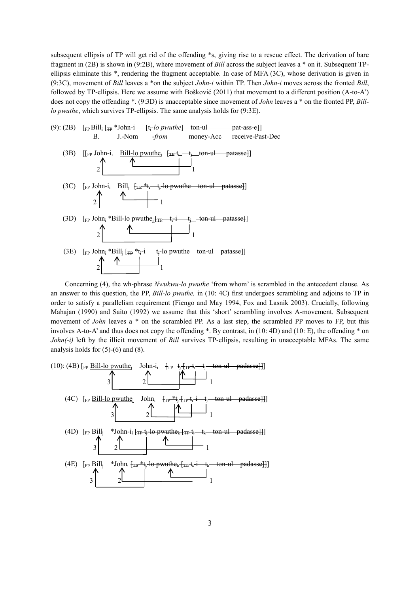subsequent ellipsis of TP will get rid of the offending \*s, giving rise to a rescue effect. The derivation of bare fragment in (2B) is shown in (9:2B), where movement of *Bill* across the subject leaves a \* on it. Subsequent TP ellipsis eliminate this \*, rendering the fragment acceptable. In case of MFA (3C), whose derivation is given in (9:3C), movement of *Bill* leaves a \*on the subject *John-i* within TP. Then *John-i* moves across the fronted *Bill*, followed by TP-ellipsis. Here we assume with Bošković (2011) that movement to a different position  $(A-to$ does not copy the offending \*. (9:3D) is unacceptable since movement of *John* leaves a \* on the fronted PP, *Billlo pwuthe*, which survives TP-ellipsis. The same analysis holds for (9:3E).



Concerning (4), the wh-phrase *Nwukwu-lo pwuthe* 'from whom' is scrambled in the antecedent clause. As an answer to this question, the PP, *Bill-lo pwuthe,* in (10: 4C) first undergoes scrambling and adjoins to TP in order to satisfy a parallelism requirement (Fiengo and May 1994, Fox and Lasnik 2003). Crucially, following Mahajan (1990) and Saito (1992) we assume that this 'short' scrambling involves A-movement. Subsequent movement of *John* leaves a \* on the scrambled PP. As a last step, the scrambled PP moves to FP, but this involves A-to-A' and thus does not copy the offending \*. By contrast, in (10: 4D) and (10: E), the offending \* on *John(-i)* left by the illicit movement of *Bill* survives TP-ellipsis, resulting in unacceptable MFAs. The same analysis holds for  $(5)-(6)$  and  $(8)$ .

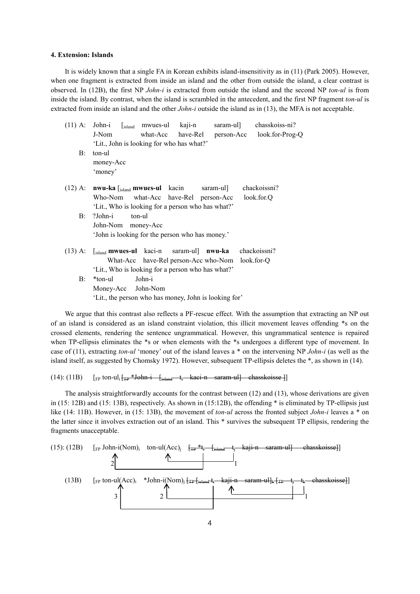#### **4. Extension: Islands**

It is widely known that a single FA in Korean exhibits island-insensitivity as in (11) (Park 2005). However, when one fragment is extracted from inside an island and the other from outside the island, a clear contrast is observed. In (12B), the first NP *John-i* is extracted from outside the island and the second NP *ton-ul* is from inside the island. By contrast, when the island is scrambled in the antecedent, and the first NP fragment *ton-ul* is extracted from inside an island and the other *John-i* outside the island as in (13), the MFA is not acceptable.

| $(11)$ A: | chasskoiss-ni?<br>John-i<br>$[$ <sub>island</sub> mwues-ul kaji-n<br>saram-ul]                 |  |  |  |  |  |
|-----------|------------------------------------------------------------------------------------------------|--|--|--|--|--|
|           | have-Rel<br>what-Acc<br>person-Acc look.for-Prog-Q<br>J-Nom                                    |  |  |  |  |  |
|           | 'Lit., John is looking for who has what?'                                                      |  |  |  |  |  |
| B:        | ton-ul                                                                                         |  |  |  |  |  |
|           | money-Acc                                                                                      |  |  |  |  |  |
|           | 'money'                                                                                        |  |  |  |  |  |
| $(12)$ A: | chackoissni?<br>$\mathbf{nwu}$ -ka $\left[\right]_{\text{island}}$ mwues-ul kacin<br>saram-ul] |  |  |  |  |  |
|           | Who-Nom what-Acc have-Rel person-Acc<br>look.for.Q                                             |  |  |  |  |  |
|           | 'Lit., Who is looking for a person who has what?'                                              |  |  |  |  |  |
| B:        | ?John-i<br>ton-ul                                                                              |  |  |  |  |  |
|           | John-Nom money-Acc                                                                             |  |  |  |  |  |
|           | 'John is looking for the person who has money.'                                                |  |  |  |  |  |
| $(13)$ A: | $\begin{bmatrix}$ <sub>island</sub> mwues-ul kaci-n saram-ul] nwu-ka chackoissni?              |  |  |  |  |  |
|           | What-Acc have-Rel person-Acc who-Nom look.for-Q                                                |  |  |  |  |  |
|           | 'Lit., Who is looking for a person who has what?'                                              |  |  |  |  |  |
| $B$ :     | *ton-ul<br>John-i                                                                              |  |  |  |  |  |
|           | Money-Acc John-Nom                                                                             |  |  |  |  |  |
|           | 'Lit., the person who has money, John is looking for'                                          |  |  |  |  |  |
|           |                                                                                                |  |  |  |  |  |

We argue that this contrast also reflects a PF-rescue effect. With the assumption that extracting an NP out of an island is considered as an island constraint violation, this illicit movement leaves offending \*s on the crossed elements, rendering the sentence ungrammatical. However, this ungrammatical sentence is repaired when TP-ellipsis eliminates the \*s or when elements with the \*s undergoes a different type of movement. In case of (11), extracting *ton-ul* 'money' out of the island leaves a \* on the intervening NP *John-i* (as well as the island itself, as suggested by Chomsky 1972). However, subsequent TP-ellipsis deletes the \*, as shown in (14).

# (14): (11B)  $\lceil \frac{F_P}{F_P} \text{ton-ul}_i \rceil$   $\frac{F_P * \text{John} i}{F_P * \text{John} i}$   $\frac{F_S}{F_S}$   $\frac{1}{F_S}$  kaci-n saram-ul] chasskoisse 1

The analysis straightforwardly accounts for the contrast between (12) and (13), whose derivations are given in (15: 12B) and (15: 13B), respectively. As shown in (15:12B), the offending \* is eliminated by TP-ellipsis just like (14: 11B). However, in (15: 13B), the movement of *ton-ul* across the fronted subject *John-i* leaves a \* on the latter since it involves extraction out of an island. This \* survives the subsequent TP ellipsis, rendering the fragments unacceptable.